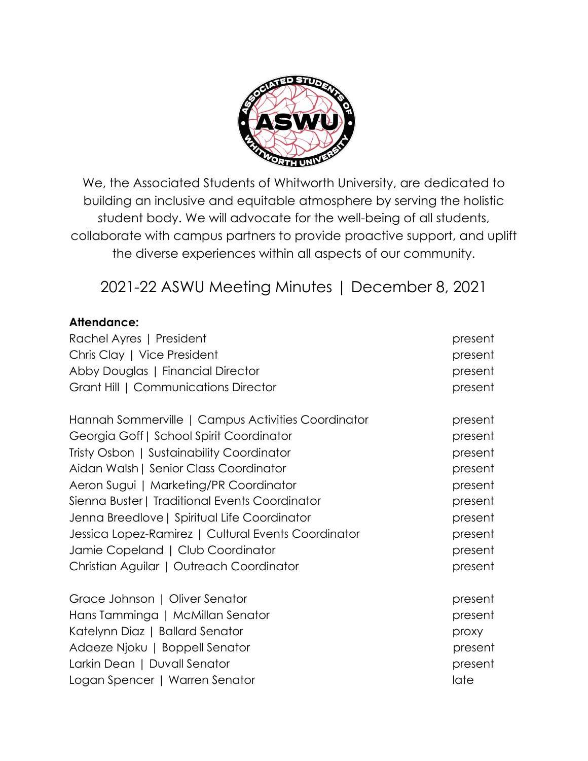

We, the Associated Students of Whitworth University, are dedicated to building an inclusive and equitable atmosphere by serving the holistic student body. We will advocate for the well-being of all students, collaborate with campus partners to provide proactive support, and uplift the diverse experiences within all aspects of our community.

2021-22 ASWU Meeting Minutes | December 8, 2021

#### **Attendance:**

| Rachel Ayres   President                            | present |
|-----------------------------------------------------|---------|
| Chris Clay   Vice President                         | present |
| Abby Douglas   Financial Director                   | present |
| Grant Hill   Communications Director                | present |
| Hannah Sommerville   Campus Activities Coordinator  | present |
| Georgia Goff   School Spirit Coordinator            | present |
| Tristy Osbon   Sustainability Coordinator           | present |
| Aidan Walsh   Senior Class Coordinator              | present |
| Aeron Sugui   Marketing/PR Coordinator              | present |
| Sienna Buster   Traditional Events Coordinator      | present |
| Jenna Breedlove   Spiritual Life Coordinator        | present |
| Jessica Lopez-Ramirez   Cultural Events Coordinator | present |
| Jamie Copeland   Club Coordinator                   | present |
| Christian Aguilar   Outreach Coordinator            | present |
| Grace Johnson   Oliver Senator                      | present |
| Hans Tamminga   McMillan Senator                    | present |
| Katelynn Diaz   Ballard Senator                     | proxy   |
| Adaeze Njoku   Boppell Senator                      | present |
| Larkin Dean   Duvall Senator                        | present |
| Logan Spencer   Warren Senator                      | late    |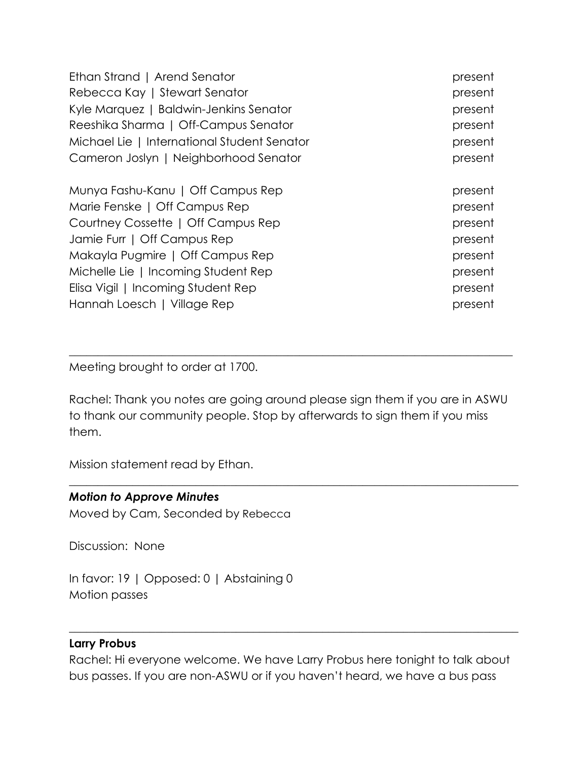| Ethan Strand   Arend Senator                | present |
|---------------------------------------------|---------|
| Rebecca Kay   Stewart Senator               | present |
| Kyle Marquez   Baldwin-Jenkins Senator      | present |
| Reeshika Sharma   Off-Campus Senator        | present |
| Michael Lie   International Student Senator | present |
| Cameron Joslyn   Neighborhood Senator       | present |
| Munya Fashu-Kanu   Off Campus Rep           | present |
| Marie Fenske   Off Campus Rep               | present |
| Courtney Cossette   Off Campus Rep          | present |
| Jamie Furr   Off Campus Rep                 | present |
| Makayla Pugmire   Off Campus Rep            | present |
| Michelle Lie   Incoming Student Rep         | present |
| Elisa Vigil   Incoming Student Rep          | present |
| Hannah Loesch   Village Rep                 | present |

Meeting brought to order at 1700.

Rachel: Thank you notes are going around please sign them if you are in ASWU to thank our community people. Stop by afterwards to sign them if you miss them.

 $\_$  , and the set of the set of the set of the set of the set of the set of the set of the set of the set of the set of the set of the set of the set of the set of the set of the set of the set of the set of the set of th

 $\_$  , and the set of the set of the set of the set of the set of the set of the set of the set of the set of the set of the set of the set of the set of the set of the set of the set of the set of the set of the set of th

Mission statement read by Ethan.

#### *Motion to Approve Minutes*

Moved by Cam, Seconded by Rebecca

Discussion: None

In favor: 19 | Opposed: 0 | Abstaining 0 Motion passes

#### **Larry Probus**

Rachel: Hi everyone welcome. We have Larry Probus here tonight to talk about bus passes. If you are non-ASWU or if you haven't heard, we have a bus pass

 $\_$  , and the set of the set of the set of the set of the set of the set of the set of the set of the set of the set of the set of the set of the set of the set of the set of the set of the set of the set of the set of th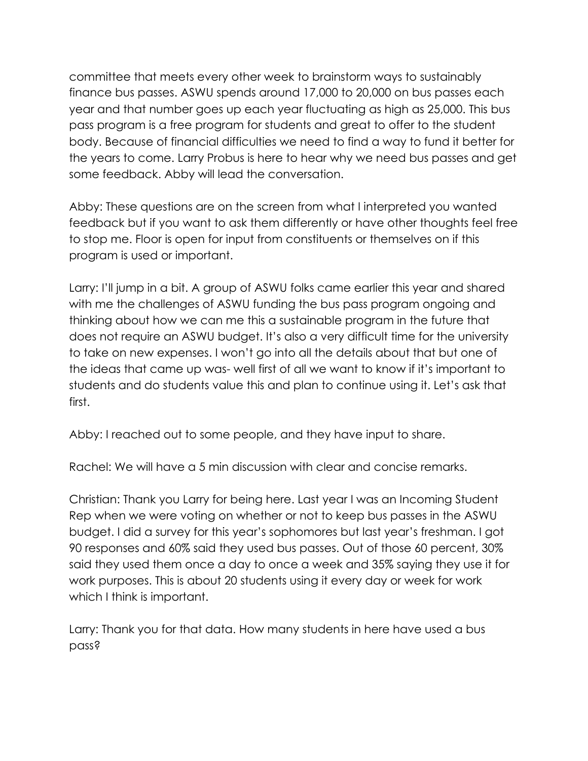committee that meets every other week to brainstorm ways to sustainably finance bus passes. ASWU spends around 17,000 to 20,000 on bus passes each year and that number goes up each year fluctuating as high as 25,000. This bus pass program is a free program for students and great to offer to the student body. Because of financial difficulties we need to find a way to fund it better for the years to come. Larry Probus is here to hear why we need bus passes and get some feedback. Abby will lead the conversation.

Abby: These questions are on the screen from what I interpreted you wanted feedback but if you want to ask them differently or have other thoughts feel free to stop me. Floor is open for input from constituents or themselves on if this program is used or important.

Larry: I'll jump in a bit. A group of ASWU folks came earlier this year and shared with me the challenges of ASWU funding the bus pass program ongoing and thinking about how we can me this a sustainable program in the future that does not require an ASWU budget. It's also a very difficult time for the university to take on new expenses. I won't go into all the details about that but one of the ideas that came up was- well first of all we want to know if it's important to students and do students value this and plan to continue using it. Let's ask that first.

Abby: I reached out to some people, and they have input to share.

Rachel: We will have a 5 min discussion with clear and concise remarks.

Christian: Thank you Larry for being here. Last year I was an Incoming Student Rep when we were voting on whether or not to keep bus passes in the ASWU budget. I did a survey for this year's sophomores but last year's freshman. I got 90 responses and 60% said they used bus passes. Out of those 60 percent, 30% said they used them once a day to once a week and 35% saying they use it for work purposes. This is about 20 students using it every day or week for work which I think is important.

Larry: Thank you for that data. How many students in here have used a bus pass?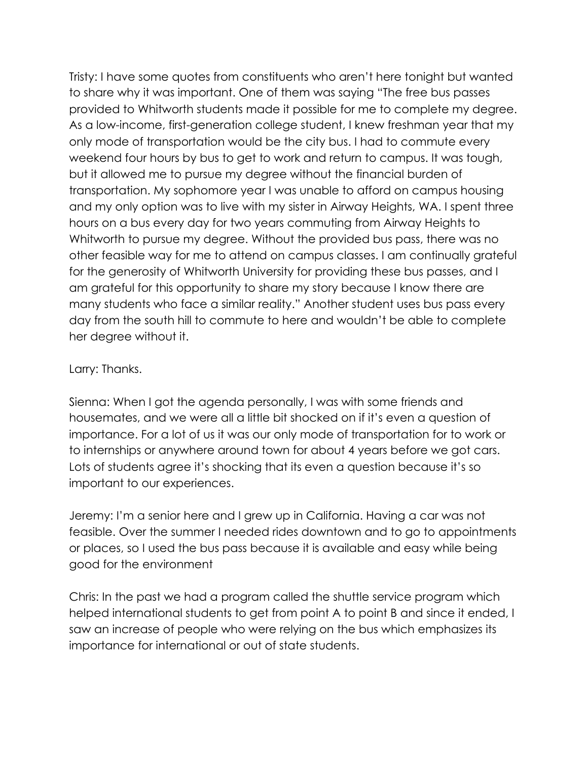Tristy: I have some quotes from constituents who aren't here tonight but wanted to share why it was important. One of them was saying "The free bus passes provided to Whitworth students made it possible for me to complete my degree. As a low-income, first-generation college student, I knew freshman year that my only mode of transportation would be the city bus. I had to commute every weekend four hours by bus to get to work and return to campus. It was tough, but it allowed me to pursue my degree without the financial burden of transportation. My sophomore year I was unable to afford on campus housing and my only option was to live with my sister in Airway Heights, WA. I spent three hours on a bus every day for two years commuting from Airway Heights to Whitworth to pursue my degree. Without the provided bus pass, there was no other feasible way for me to attend on campus classes. I am continually grateful for the generosity of Whitworth University for providing these bus passes, and I am grateful for this opportunity to share my story because I know there are many students who face a similar reality." Another student uses bus pass every day from the south hill to commute to here and wouldn't be able to complete her degree without it.

#### Larry: Thanks.

Sienna: When I got the agenda personally, I was with some friends and housemates, and we were all a little bit shocked on if it's even a question of importance. For a lot of us it was our only mode of transportation for to work or to internships or anywhere around town for about 4 years before we got cars. Lots of students agree it's shocking that its even a question because it's so important to our experiences.

Jeremy: I'm a senior here and I grew up in California. Having a car was not feasible. Over the summer I needed rides downtown and to go to appointments or places, so I used the bus pass because it is available and easy while being good for the environment

Chris: In the past we had a program called the shuttle service program which helped international students to get from point A to point B and since it ended, I saw an increase of people who were relying on the bus which emphasizes its importance for international or out of state students.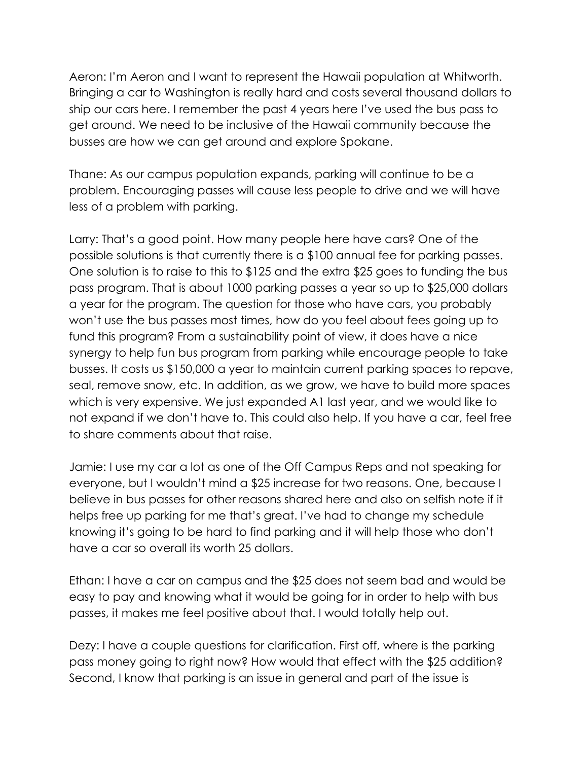Aeron: I'm Aeron and I want to represent the Hawaii population at Whitworth. Bringing a car to Washington is really hard and costs several thousand dollars to ship our cars here. I remember the past 4 years here I've used the bus pass to get around. We need to be inclusive of the Hawaii community because the busses are how we can get around and explore Spokane.

Thane: As our campus population expands, parking will continue to be a problem. Encouraging passes will cause less people to drive and we will have less of a problem with parking.

Larry: That's a good point. How many people here have cars? One of the possible solutions is that currently there is a \$100 annual fee for parking passes. One solution is to raise to this to \$125 and the extra \$25 goes to funding the bus pass program. That is about 1000 parking passes a year so up to \$25,000 dollars a year for the program. The question for those who have cars, you probably won't use the bus passes most times, how do you feel about fees going up to fund this program? From a sustainability point of view, it does have a nice synergy to help fun bus program from parking while encourage people to take busses. It costs us \$150,000 a year to maintain current parking spaces to repave, seal, remove snow, etc. In addition, as we grow, we have to build more spaces which is very expensive. We just expanded A1 last year, and we would like to not expand if we don't have to. This could also help. If you have a car, feel free to share comments about that raise.

Jamie: I use my car a lot as one of the Off Campus Reps and not speaking for everyone, but I wouldn't mind a \$25 increase for two reasons. One, because I believe in bus passes for other reasons shared here and also on selfish note if it helps free up parking for me that's great. I've had to change my schedule knowing it's going to be hard to find parking and it will help those who don't have a car so overall its worth 25 dollars.

Ethan: I have a car on campus and the \$25 does not seem bad and would be easy to pay and knowing what it would be going for in order to help with bus passes, it makes me feel positive about that. I would totally help out.

Dezy: I have a couple questions for clarification. First off, where is the parking pass money going to right now? How would that effect with the \$25 addition? Second, I know that parking is an issue in general and part of the issue is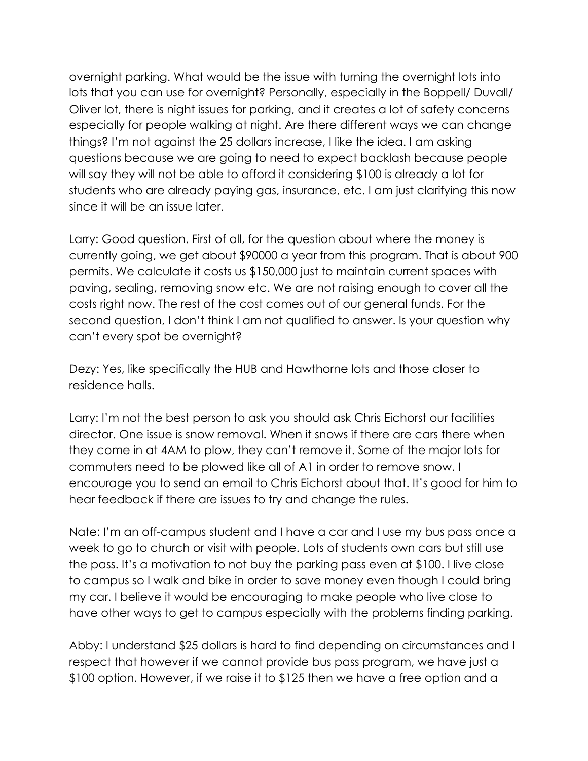overnight parking. What would be the issue with turning the overnight lots into lots that you can use for overnight? Personally, especially in the Boppell/ Duvall/ Oliver lot, there is night issues for parking, and it creates a lot of safety concerns especially for people walking at night. Are there different ways we can change things? I'm not against the 25 dollars increase, I like the idea. I am asking questions because we are going to need to expect backlash because people will say they will not be able to afford it considering \$100 is already a lot for students who are already paying gas, insurance, etc. I am just clarifying this now since it will be an issue later.

Larry: Good question. First of all, for the question about where the money is currently going, we get about \$90000 a year from this program. That is about 900 permits. We calculate it costs us \$150,000 just to maintain current spaces with paving, sealing, removing snow etc. We are not raising enough to cover all the costs right now. The rest of the cost comes out of our general funds. For the second question, I don't think I am not qualified to answer. Is your question why can't every spot be overnight?

Dezy: Yes, like specifically the HUB and Hawthorne lots and those closer to residence halls.

Larry: I'm not the best person to ask you should ask Chris Eichorst our facilities director. One issue is snow removal. When it snows if there are cars there when they come in at 4AM to plow, they can't remove it. Some of the major lots for commuters need to be plowed like all of A1 in order to remove snow. I encourage you to send an email to Chris Eichorst about that. It's good for him to hear feedback if there are issues to try and change the rules.

Nate: I'm an off-campus student and I have a car and I use my bus pass once a week to go to church or visit with people. Lots of students own cars but still use the pass. It's a motivation to not buy the parking pass even at \$100. I live close to campus so I walk and bike in order to save money even though I could bring my car. I believe it would be encouraging to make people who live close to have other ways to get to campus especially with the problems finding parking.

Abby: I understand \$25 dollars is hard to find depending on circumstances and I respect that however if we cannot provide bus pass program, we have just a \$100 option. However, if we raise it to \$125 then we have a free option and a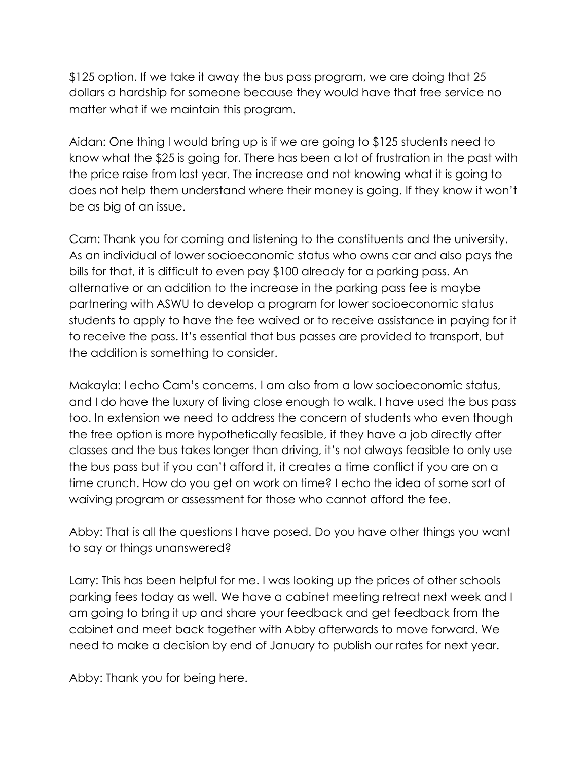\$125 option. If we take it away the bus pass program, we are doing that 25 dollars a hardship for someone because they would have that free service no matter what if we maintain this program.

Aidan: One thing I would bring up is if we are going to \$125 students need to know what the \$25 is going for. There has been a lot of frustration in the past with the price raise from last year. The increase and not knowing what it is going to does not help them understand where their money is going. If they know it won't be as big of an issue.

Cam: Thank you for coming and listening to the constituents and the university. As an individual of lower socioeconomic status who owns car and also pays the bills for that, it is difficult to even pay \$100 already for a parking pass. An alternative or an addition to the increase in the parking pass fee is maybe partnering with ASWU to develop a program for lower socioeconomic status students to apply to have the fee waived or to receive assistance in paying for it to receive the pass. It's essential that bus passes are provided to transport, but the addition is something to consider.

Makayla: I echo Cam's concerns. I am also from a low socioeconomic status, and I do have the luxury of living close enough to walk. I have used the bus pass too. In extension we need to address the concern of students who even though the free option is more hypothetically feasible, if they have a job directly after classes and the bus takes longer than driving, it's not always feasible to only use the bus pass but if you can't afford it, it creates a time conflict if you are on a time crunch. How do you get on work on time? I echo the idea of some sort of waiving program or assessment for those who cannot afford the fee.

Abby: That is all the questions I have posed. Do you have other things you want to say or things unanswered?

Larry: This has been helpful for me. I was looking up the prices of other schools parking fees today as well. We have a cabinet meeting retreat next week and I am going to bring it up and share your feedback and get feedback from the cabinet and meet back together with Abby afterwards to move forward. We need to make a decision by end of January to publish our rates for next year.

Abby: Thank you for being here.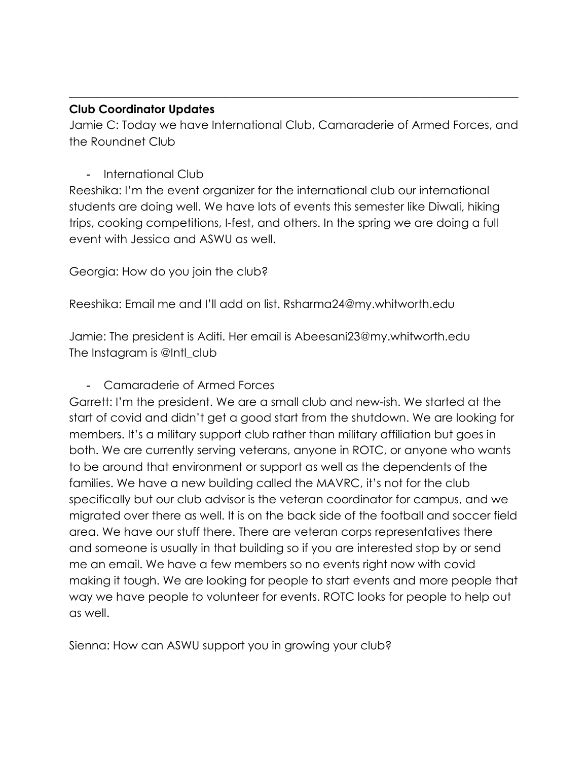#### **Club Coordinator Updates**

Jamie C: Today we have International Club, Camaraderie of Armed Forces, and the Roundnet Club

 $\_$  , and the set of the set of the set of the set of the set of the set of the set of the set of the set of the set of the set of the set of the set of the set of the set of the set of the set of the set of the set of th

## - International Club

Reeshika: I'm the event organizer for the international club our international students are doing well. We have lots of events this semester like Diwali, hiking trips, cooking competitions, I-fest, and others. In the spring we are doing a full event with Jessica and ASWU as well.

Georgia: How do you join the club?

Reeshika: Email me and I'll add on list. Rsharma24@my.whitworth.edu

Jamie: The president is Aditi. Her email is Abeesani23@my.whitworth.edu The Instagram is @Intl\_club

## - Camaraderie of Armed Forces

Garrett: I'm the president. We are a small club and new-ish. We started at the start of covid and didn't get a good start from the shutdown. We are looking for members. It's a military support club rather than military affiliation but goes in both. We are currently serving veterans, anyone in ROTC, or anyone who wants to be around that environment or support as well as the dependents of the families. We have a new building called the MAVRC, it's not for the club specifically but our club advisor is the veteran coordinator for campus, and we migrated over there as well. It is on the back side of the football and soccer field area. We have our stuff there. There are veteran corps representatives there and someone is usually in that building so if you are interested stop by or send me an email. We have a few members so no events right now with covid making it tough. We are looking for people to start events and more people that way we have people to volunteer for events. ROTC looks for people to help out as well.

Sienna: How can ASWU support you in growing your club?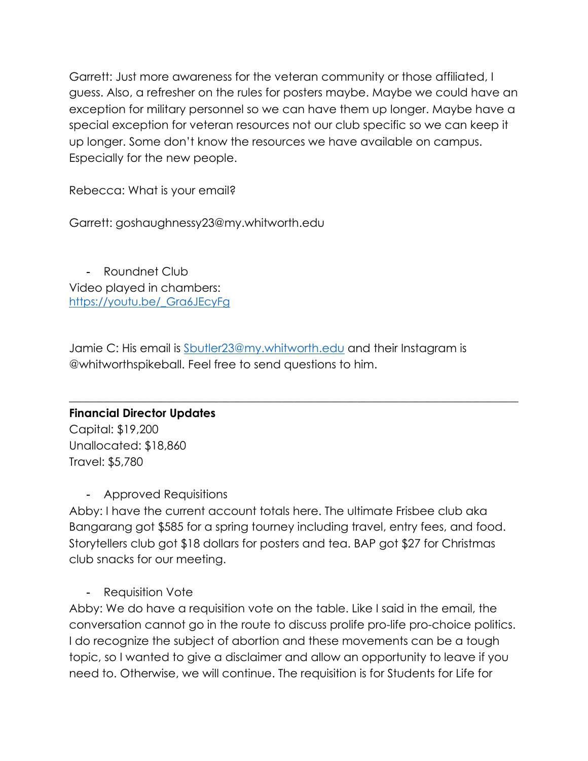Garrett: Just more awareness for the veteran community or those affiliated, I guess. Also, a refresher on the rules for posters maybe. Maybe we could have an exception for military personnel so we can have them up longer. Maybe have a special exception for veteran resources not our club specific so we can keep it up longer. Some don't know the resources we have available on campus. Especially for the new people.

Rebecca: What is your email?

Garrett: goshaughnessy23@my.whitworth.edu

- Roundnet Club Video played in chambers: https://youtu.be/\_Gra6JEcyFg

Jamie C: His email is Sbutler23@my.whitworth.edu and their Instagram is @whitworthspikeball. Feel free to send questions to him.

 $\_$  , and the set of the set of the set of the set of the set of the set of the set of the set of the set of the set of the set of the set of the set of the set of the set of the set of the set of the set of the set of th

# **Financial Director Updates** Capital: \$19,200 Unallocated: \$18,860

Travel: \$5,780

- Approved Requisitions

Abby: I have the current account totals here. The ultimate Frisbee club aka Bangarang got \$585 for a spring tourney including travel, entry fees, and food. Storytellers club got \$18 dollars for posters and tea. BAP got \$27 for Christmas club snacks for our meeting.

- Requisition Vote

Abby: We do have a requisition vote on the table. Like I said in the email, the conversation cannot go in the route to discuss prolife pro-life pro-choice politics. I do recognize the subject of abortion and these movements can be a tough topic, so I wanted to give a disclaimer and allow an opportunity to leave if you need to. Otherwise, we will continue. The requisition is for Students for Life for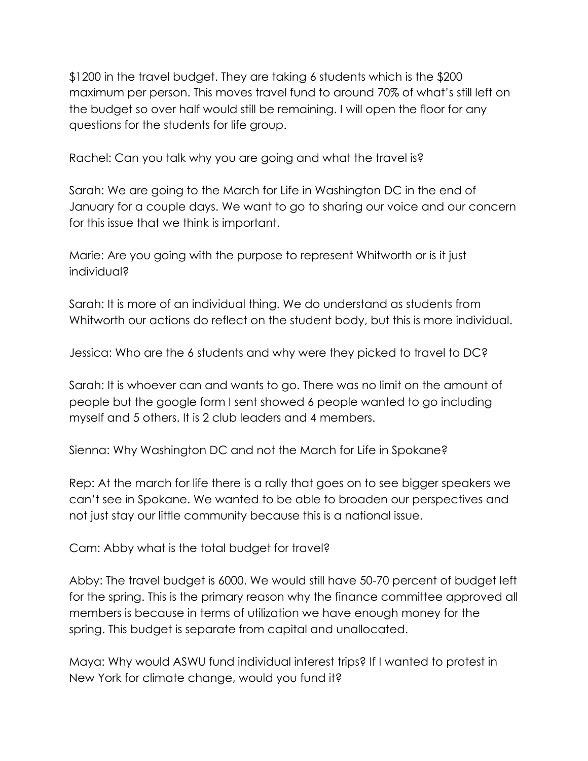\$1200 in the travel budget. They are taking 6 students which is the \$200 maximum per person. This moves travel fund to around 70% of what's still left on the budget so over half would still be remaining. I will open the floor for any questions for the students for life group.

Rachel: Can you talk why you are going and what the travel is?

Sarah: We are going to the March for Life in Washington DC in the end of January for a couple days. We want to go to sharing our voice and our concern for this issue that we think is important.

Marie: Are you going with the purpose to represent Whitworth or is it just individual?

Sarah: It is more of an individual thing. We do understand as students from Whitworth our actions do reflect on the student body, but this is more individual.

Jessica: Who are the 6 students and why were they picked to travel to DC?

Sarah: It is whoever can and wants to go. There was no limit on the amount of people but the google form I sent showed 6 people wanted to go including myself and 5 others. It is 2 club leaders and 4 members.

Sienna: Why Washington DC and not the March for Life in Spokane?

Rep: At the march for life there is a rally that goes on to see bigger speakers we can't see in Spokane. We wanted to be able to broaden our perspectives and not just stay our little community because this is a national issue.

Cam: Abby what is the total budget for travel?

Abby: The travel budget is 6000. We would still have 50-70 percent of budget left for the spring. This is the primary reason why the finance committee approved all members is because in terms of utilization we have enough money for the spring. This budget is separate from capital and unallocated.

Maya: Why would ASWU fund individual interest trips? If I wanted to protest in New York for climate change, would you fund it?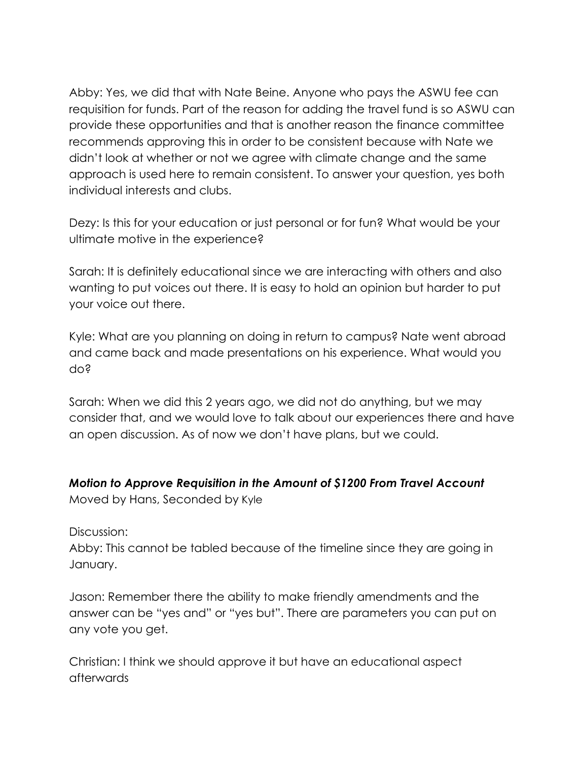Abby: Yes, we did that with Nate Beine. Anyone who pays the ASWU fee can requisition for funds. Part of the reason for adding the travel fund is so ASWU can provide these opportunities and that is another reason the finance committee recommends approving this in order to be consistent because with Nate we didn't look at whether or not we agree with climate change and the same approach is used here to remain consistent. To answer your question, yes both individual interests and clubs.

Dezy: Is this for your education or just personal or for fun? What would be your ultimate motive in the experience?

Sarah: It is definitely educational since we are interacting with others and also wanting to put voices out there. It is easy to hold an opinion but harder to put your voice out there.

Kyle: What are you planning on doing in return to campus? Nate went abroad and came back and made presentations on his experience. What would you do?

Sarah: When we did this 2 years ago, we did not do anything, but we may consider that, and we would love to talk about our experiences there and have an open discussion. As of now we don't have plans, but we could.

## *Motion to Approve Requisition in the Amount of \$1200 From Travel Account*

Moved by Hans, Seconded by Kyle

Discussion:

Abby: This cannot be tabled because of the timeline since they are going in January.

Jason: Remember there the ability to make friendly amendments and the answer can be "yes and" or "yes but". There are parameters you can put on any vote you get.

Christian: I think we should approve it but have an educational aspect afterwards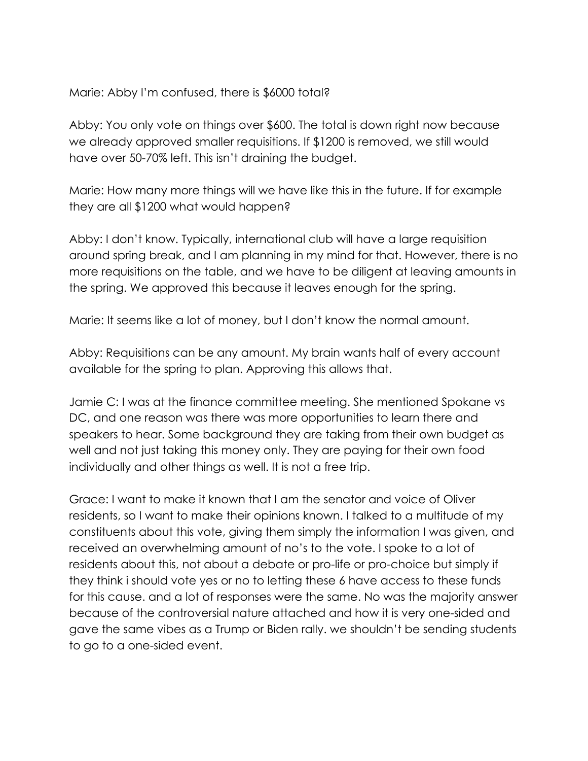#### Marie: Abby I'm confused, there is \$6000 total?

Abby: You only vote on things over \$600. The total is down right now because we already approved smaller requisitions. If \$1200 is removed, we still would have over 50-70% left. This isn't draining the budget.

Marie: How many more things will we have like this in the future. If for example they are all \$1200 what would happen?

Abby: I don't know. Typically, international club will have a large requisition around spring break, and I am planning in my mind for that. However, there is no more requisitions on the table, and we have to be diligent at leaving amounts in the spring. We approved this because it leaves enough for the spring.

Marie: It seems like a lot of money, but I don't know the normal amount.

Abby: Requisitions can be any amount. My brain wants half of every account available for the spring to plan. Approving this allows that.

Jamie C: I was at the finance committee meeting. She mentioned Spokane vs DC, and one reason was there was more opportunities to learn there and speakers to hear. Some background they are taking from their own budget as well and not just taking this money only. They are paying for their own food individually and other things as well. It is not a free trip.

Grace: I want to make it known that I am the senator and voice of Oliver residents, so I want to make their opinions known. I talked to a multitude of my constituents about this vote, giving them simply the information I was given, and received an overwhelming amount of no's to the vote. I spoke to a lot of residents about this, not about a debate or pro-life or pro-choice but simply if they think i should vote yes or no to letting these 6 have access to these funds for this cause. and a lot of responses were the same. No was the majority answer because of the controversial nature attached and how it is very one-sided and gave the same vibes as a Trump or Biden rally. we shouldn't be sending students to go to a one-sided event.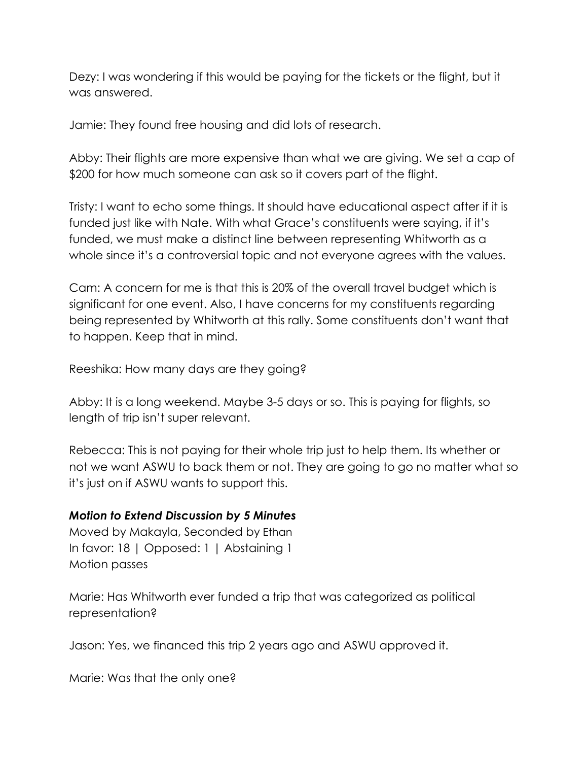Dezy: I was wondering if this would be paying for the tickets or the flight, but it was answered.

Jamie: They found free housing and did lots of research.

Abby: Their flights are more expensive than what we are giving. We set a cap of \$200 for how much someone can ask so it covers part of the flight.

Tristy: I want to echo some things. It should have educational aspect after if it is funded just like with Nate. With what Grace's constituents were saying, if it's funded, we must make a distinct line between representing Whitworth as a whole since it's a controversial topic and not everyone agrees with the values.

Cam: A concern for me is that this is 20% of the overall travel budget which is significant for one event. Also, I have concerns for my constituents regarding being represented by Whitworth at this rally. Some constituents don't want that to happen. Keep that in mind.

Reeshika: How many days are they going?

Abby: It is a long weekend. Maybe 3-5 days or so. This is paying for flights, so length of trip isn't super relevant.

Rebecca: This is not paying for their whole trip just to help them. Its whether or not we want ASWU to back them or not. They are going to go no matter what so it's just on if ASWU wants to support this.

#### *Motion to Extend Discussion by 5 Minutes*

Moved by Makayla, Seconded by Ethan In favor: 18 | Opposed: 1 | Abstaining 1 Motion passes

Marie: Has Whitworth ever funded a trip that was categorized as political representation?

Jason: Yes, we financed this trip 2 years ago and ASWU approved it.

Marie: Was that the only one?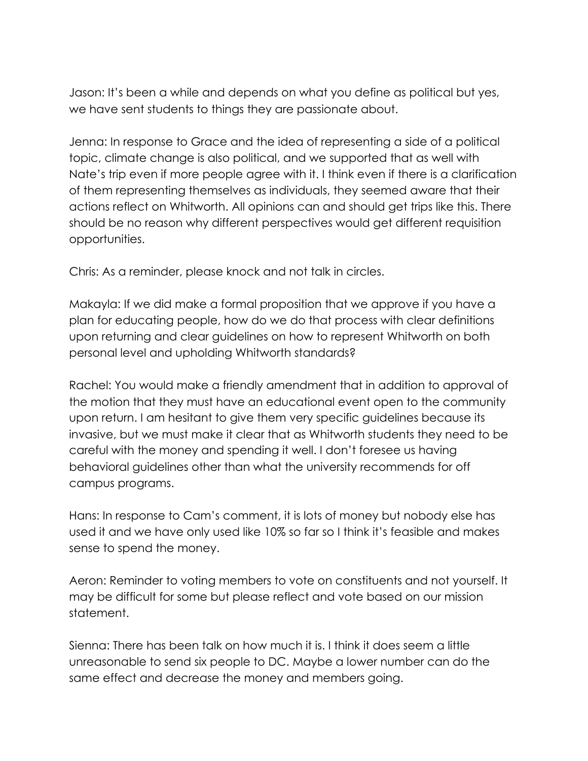Jason: It's been a while and depends on what you define as political but yes, we have sent students to things they are passionate about.

Jenna: In response to Grace and the idea of representing a side of a political topic, climate change is also political, and we supported that as well with Nate's trip even if more people agree with it. I think even if there is a clarification of them representing themselves as individuals, they seemed aware that their actions reflect on Whitworth. All opinions can and should get trips like this. There should be no reason why different perspectives would get different requisition opportunities.

Chris: As a reminder, please knock and not talk in circles.

Makayla: If we did make a formal proposition that we approve if you have a plan for educating people, how do we do that process with clear definitions upon returning and clear guidelines on how to represent Whitworth on both personal level and upholding Whitworth standards?

Rachel: You would make a friendly amendment that in addition to approval of the motion that they must have an educational event open to the community upon return. I am hesitant to give them very specific guidelines because its invasive, but we must make it clear that as Whitworth students they need to be careful with the money and spending it well. I don't foresee us having behavioral guidelines other than what the university recommends for off campus programs.

Hans: In response to Cam's comment, it is lots of money but nobody else has used it and we have only used like 10% so far so I think it's feasible and makes sense to spend the money.

Aeron: Reminder to voting members to vote on constituents and not yourself. It may be difficult for some but please reflect and vote based on our mission statement.

Sienna: There has been talk on how much it is. I think it does seem a little unreasonable to send six people to DC. Maybe a lower number can do the same effect and decrease the money and members going.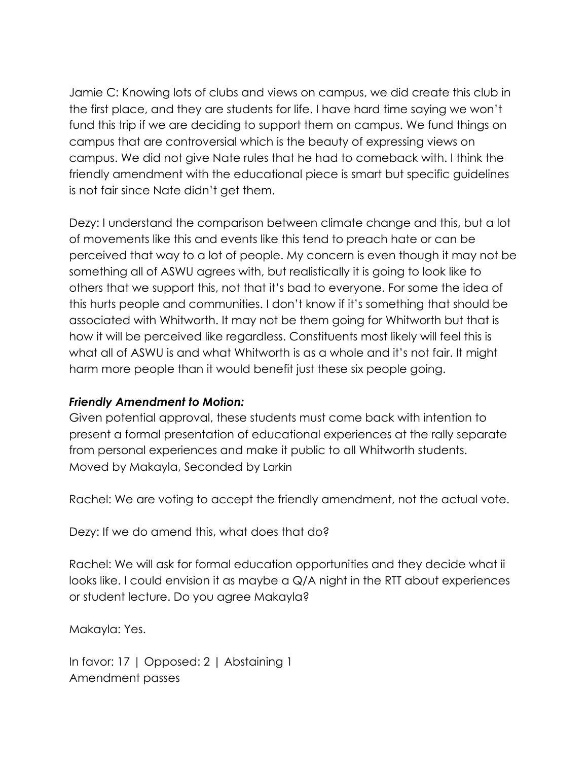Jamie C: Knowing lots of clubs and views on campus, we did create this club in the first place, and they are students for life. I have hard time saying we won't fund this trip if we are deciding to support them on campus. We fund things on campus that are controversial which is the beauty of expressing views on campus. We did not give Nate rules that he had to comeback with. I think the friendly amendment with the educational piece is smart but specific guidelines is not fair since Nate didn't get them.

Dezy: I understand the comparison between climate change and this, but a lot of movements like this and events like this tend to preach hate or can be perceived that way to a lot of people. My concern is even though it may not be something all of ASWU agrees with, but realistically it is going to look like to others that we support this, not that it's bad to everyone. For some the idea of this hurts people and communities. I don't know if it's something that should be associated with Whitworth. It may not be them going for Whitworth but that is how it will be perceived like regardless. Constituents most likely will feel this is what all of ASWU is and what Whitworth is as a whole and it's not fair. It might harm more people than it would benefit just these six people going.

#### *Friendly Amendment to Motion:*

Given potential approval, these students must come back with intention to present a formal presentation of educational experiences at the rally separate from personal experiences and make it public to all Whitworth students. Moved by Makayla, Seconded by Larkin

Rachel: We are voting to accept the friendly amendment, not the actual vote.

Dezy: If we do amend this, what does that do?

Rachel: We will ask for formal education opportunities and they decide what ii looks like. I could envision it as maybe a Q/A night in the RTT about experiences or student lecture. Do you agree Makayla?

Makayla: Yes.

In favor: 17 | Opposed: 2 | Abstaining 1 Amendment passes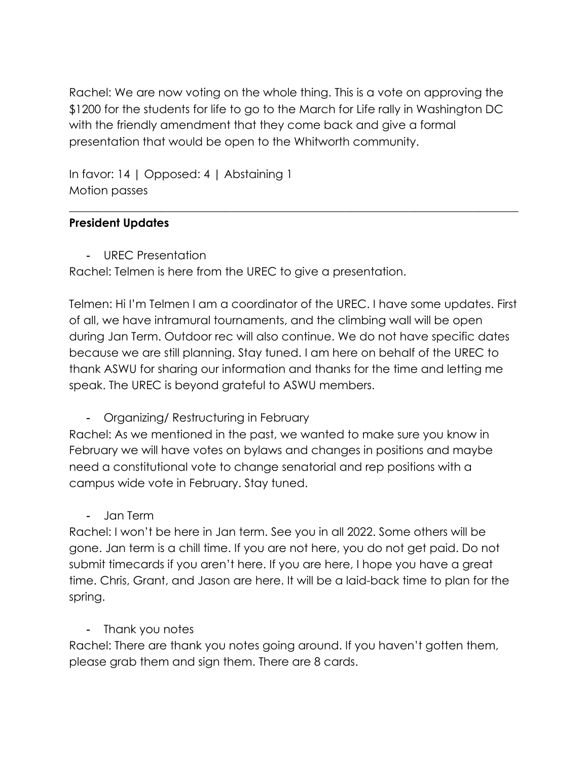Rachel: We are now voting on the whole thing. This is a vote on approving the \$1200 for the students for life to go to the March for Life rally in Washington DC with the friendly amendment that they come back and give a formal presentation that would be open to the Whitworth community.

 $\_$  , and the set of the set of the set of the set of the set of the set of the set of the set of the set of the set of the set of the set of the set of the set of the set of the set of the set of the set of the set of th

In favor: 14 | Opposed: 4 | Abstaining 1 Motion passes

#### **President Updates**

- UREC Presentation

Rachel: Telmen is here from the UREC to give a presentation.

Telmen: Hi I'm Telmen I am a coordinator of the UREC. I have some updates. First of all, we have intramural tournaments, and the climbing wall will be open during Jan Term. Outdoor rec will also continue. We do not have specific dates because we are still planning. Stay tuned. I am here on behalf of the UREC to thank ASWU for sharing our information and thanks for the time and letting me speak. The UREC is beyond grateful to ASWU members.

- Organizing/ Restructuring in February

Rachel: As we mentioned in the past, we wanted to make sure you know in February we will have votes on bylaws and changes in positions and maybe need a constitutional vote to change senatorial and rep positions with a campus wide vote in February. Stay tuned.

- Jan Term

Rachel: I won't be here in Jan term. See you in all 2022. Some others will be gone. Jan term is a chill time. If you are not here, you do not get paid. Do not submit timecards if you aren't here. If you are here, I hope you have a great time. Chris, Grant, and Jason are here. It will be a laid-back time to plan for the spring.

## - Thank you notes

Rachel: There are thank you notes going around. If you haven't gotten them, please grab them and sign them. There are 8 cards.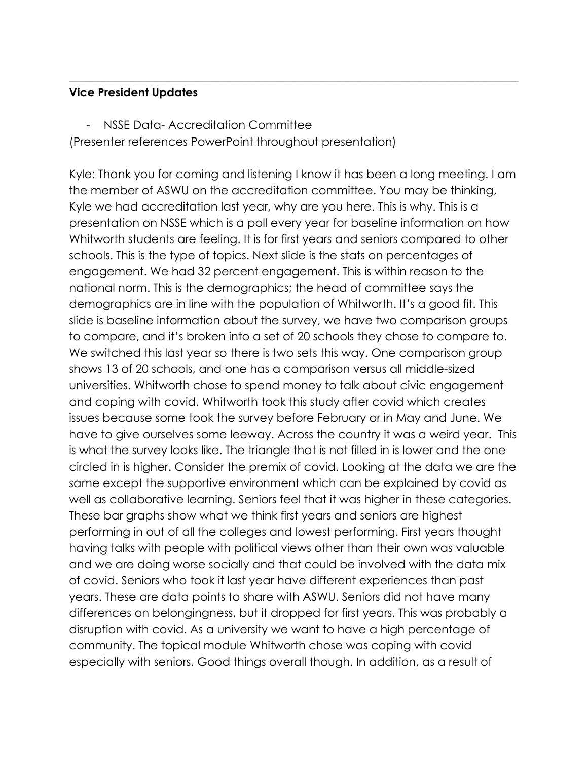#### **Vice President Updates**

- NSSE Data- Accreditation Committee

(Presenter references PowerPoint throughout presentation)

Kyle: Thank you for coming and listening I know it has been a long meeting. I am the member of ASWU on the accreditation committee. You may be thinking, Kyle we had accreditation last year, why are you here. This is why. This is a presentation on NSSE which is a poll every year for baseline information on how Whitworth students are feeling. It is for first years and seniors compared to other schools. This is the type of topics. Next slide is the stats on percentages of engagement. We had 32 percent engagement. This is within reason to the national norm. This is the demographics; the head of committee says the demographics are in line with the population of Whitworth. It's a good fit. This slide is baseline information about the survey, we have two comparison groups to compare, and it's broken into a set of 20 schools they chose to compare to. We switched this last year so there is two sets this way. One comparison group shows 13 of 20 schools, and one has a comparison versus all middle-sized universities. Whitworth chose to spend money to talk about civic engagement and coping with covid. Whitworth took this study after covid which creates issues because some took the survey before February or in May and June. We have to give ourselves some leeway. Across the country it was a weird year. This is what the survey looks like. The triangle that is not filled in is lower and the one circled in is higher. Consider the premix of covid. Looking at the data we are the same except the supportive environment which can be explained by covid as well as collaborative learning. Seniors feel that it was higher in these categories. These bar graphs show what we think first years and seniors are highest performing in out of all the colleges and lowest performing. First years thought having talks with people with political views other than their own was valuable and we are doing worse socially and that could be involved with the data mix of covid. Seniors who took it last year have different experiences than past years. These are data points to share with ASWU. Seniors did not have many differences on belongingness, but it dropped for first years. This was probably a disruption with covid. As a university we want to have a high percentage of community. The topical module Whitworth chose was coping with covid especially with seniors. Good things overall though. In addition, as a result of

 $\_$  , and the set of the set of the set of the set of the set of the set of the set of the set of the set of the set of the set of the set of the set of the set of the set of the set of the set of the set of the set of th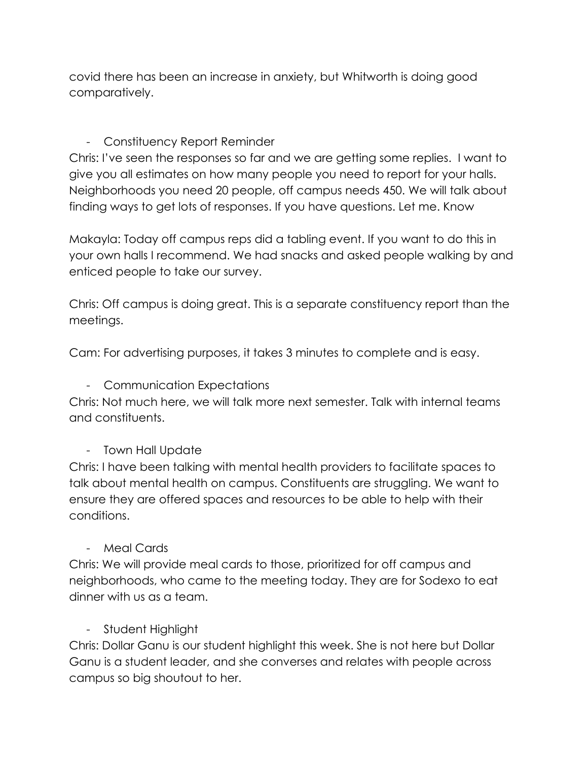covid there has been an increase in anxiety, but Whitworth is doing good comparatively.

# - Constituency Report Reminder

Chris: I've seen the responses so far and we are getting some replies. I want to give you all estimates on how many people you need to report for your halls. Neighborhoods you need 20 people, off campus needs 450. We will talk about finding ways to get lots of responses. If you have questions. Let me. Know

Makayla: Today off campus reps did a tabling event. If you want to do this in your own halls I recommend. We had snacks and asked people walking by and enticed people to take our survey.

Chris: Off campus is doing great. This is a separate constituency report than the meetings.

Cam: For advertising purposes, it takes 3 minutes to complete and is easy.

- Communication Expectations

Chris: Not much here, we will talk more next semester. Talk with internal teams and constituents.

## - Town Hall Update

Chris: I have been talking with mental health providers to facilitate spaces to talk about mental health on campus. Constituents are struggling. We want to ensure they are offered spaces and resources to be able to help with their conditions.

- Meal Cards

Chris: We will provide meal cards to those, prioritized for off campus and neighborhoods, who came to the meeting today. They are for Sodexo to eat dinner with us as a team.

## - Student Highlight

Chris: Dollar Ganu is our student highlight this week. She is not here but Dollar Ganu is a student leader, and she converses and relates with people across campus so big shoutout to her.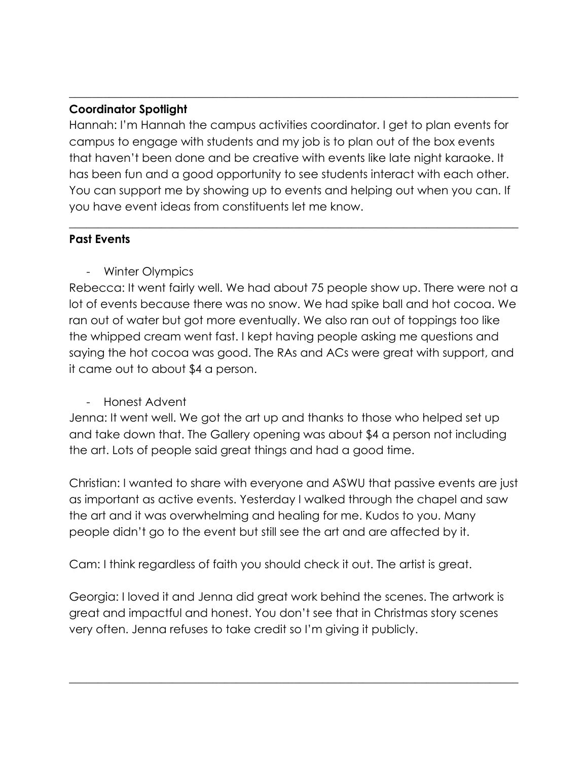## **Coordinator Spotlight**

Hannah: I'm Hannah the campus activities coordinator. I get to plan events for campus to engage with students and my job is to plan out of the box events that haven't been done and be creative with events like late night karaoke. It has been fun and a good opportunity to see students interact with each other. You can support me by showing up to events and helping out when you can. If you have event ideas from constituents let me know.

 $\_$  , and the set of the set of the set of the set of the set of the set of the set of the set of the set of the set of the set of the set of the set of the set of the set of the set of the set of the set of the set of th

 $\_$  , and the set of the set of the set of the set of the set of the set of the set of the set of the set of the set of the set of the set of the set of the set of the set of the set of the set of the set of the set of th

#### **Past Events**

- Winter Olympics

Rebecca: It went fairly well. We had about 75 people show up. There were not a lot of events because there was no snow. We had spike ball and hot cocoa. We ran out of water but got more eventually. We also ran out of toppings too like the whipped cream went fast. I kept having people asking me questions and saying the hot cocoa was good. The RAs and ACs were great with support, and it came out to about \$4 a person.

## - Honest Advent

Jenna: It went well. We got the art up and thanks to those who helped set up and take down that. The Gallery opening was about \$4 a person not including the art. Lots of people said great things and had a good time.

Christian: I wanted to share with everyone and ASWU that passive events are just as important as active events. Yesterday I walked through the chapel and saw the art and it was overwhelming and healing for me. Kudos to you. Many people didn't go to the event but still see the art and are affected by it.

Cam: I think regardless of faith you should check it out. The artist is great.

Georgia: I loved it and Jenna did great work behind the scenes. The artwork is great and impactful and honest. You don't see that in Christmas story scenes very often. Jenna refuses to take credit so I'm giving it publicly.

 $\_$  , and the set of the set of the set of the set of the set of the set of the set of the set of the set of the set of the set of the set of the set of the set of the set of the set of the set of the set of the set of th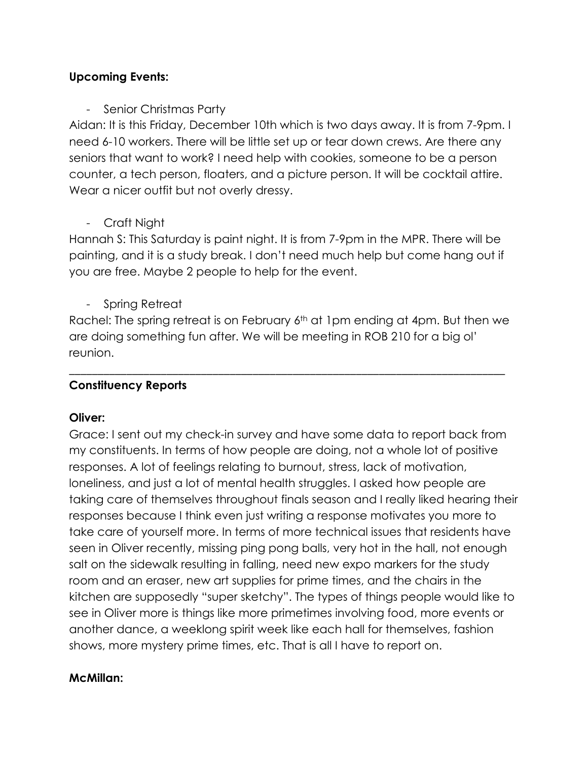#### **Upcoming Events:**

- Senior Christmas Party

Aidan: It is this Friday, December 10th which is two days away. It is from 7-9pm. I need 6-10 workers. There will be little set up or tear down crews. Are there any seniors that want to work? I need help with cookies, someone to be a person counter, a tech person, floaters, and a picture person. It will be cocktail attire. Wear a nicer outfit but not overly dressy.

- Craft Night

Hannah S: This Saturday is paint night. It is from 7-9pm in the MPR. There will be painting, and it is a study break. I don't need much help but come hang out if you are free. Maybe 2 people to help for the event.

- Spring Retreat

Rachel: The spring retreat is on February 6<sup>th</sup> at 1pm ending at 4pm. But then we are doing something fun after. We will be meeting in ROB 210 for a big ol' reunion.

\_\_\_\_\_\_\_\_\_\_\_\_\_\_\_\_\_\_\_\_\_\_\_\_\_\_\_\_\_\_\_\_\_\_\_\_\_\_\_\_\_\_\_\_\_\_\_\_\_\_\_\_\_\_\_\_\_\_\_\_\_\_\_\_\_\_\_\_\_\_\_\_\_\_\_\_

## **Constituency Reports**

## **Oliver:**

Grace: I sent out my check-in survey and have some data to report back from my constituents. In terms of how people are doing, not a whole lot of positive responses. A lot of feelings relating to burnout, stress, lack of motivation, loneliness, and just a lot of mental health struggles. I asked how people are taking care of themselves throughout finals season and I really liked hearing their responses because I think even just writing a response motivates you more to take care of yourself more. In terms of more technical issues that residents have seen in Oliver recently, missing ping pong balls, very hot in the hall, not enough salt on the sidewalk resulting in falling, need new expo markers for the study room and an eraser, new art supplies for prime times, and the chairs in the kitchen are supposedly "super sketchy". The types of things people would like to see in Oliver more is things like more primetimes involving food, more events or another dance, a weeklong spirit week like each hall for themselves, fashion shows, more mystery prime times, etc. That is all I have to report on.

## **McMillan:**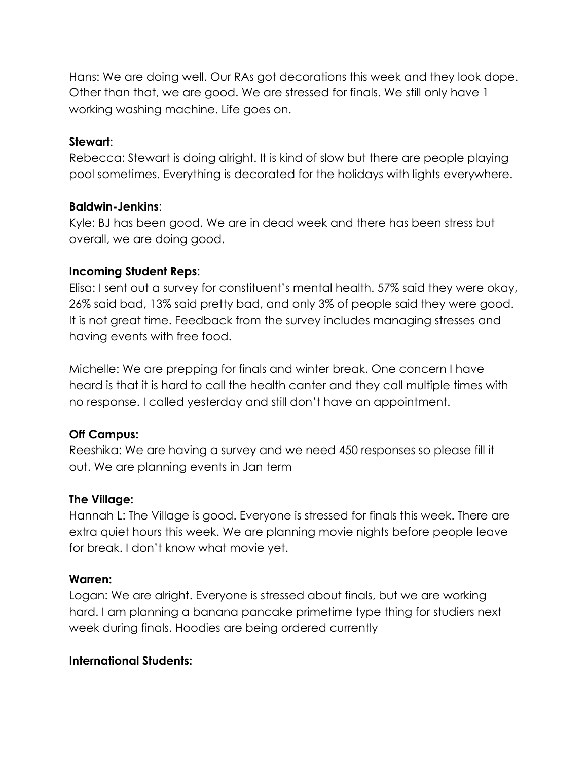Hans: We are doing well. Our RAs got decorations this week and they look dope. Other than that, we are good. We are stressed for finals. We still only have 1 working washing machine. Life goes on.

#### **Stewart**:

Rebecca: Stewart is doing alright. It is kind of slow but there are people playing pool sometimes. Everything is decorated for the holidays with lights everywhere.

#### **Baldwin-Jenkins**:

Kyle: BJ has been good. We are in dead week and there has been stress but overall, we are doing good.

#### **Incoming Student Reps**:

Elisa: I sent out a survey for constituent's mental health. 57% said they were okay, 26% said bad, 13% said pretty bad, and only 3% of people said they were good. It is not great time. Feedback from the survey includes managing stresses and having events with free food.

Michelle: We are prepping for finals and winter break. One concern I have heard is that it is hard to call the health canter and they call multiple times with no response. I called yesterday and still don't have an appointment.

## **Off Campus:**

Reeshika: We are having a survey and we need 450 responses so please fill it out. We are planning events in Jan term

#### **The Village:**

Hannah L: The Village is good. Everyone is stressed for finals this week. There are extra quiet hours this week. We are planning movie nights before people leave for break. I don't know what movie yet.

## **Warren:**

Logan: We are alright. Everyone is stressed about finals, but we are working hard. I am planning a banana pancake primetime type thing for studiers next week during finals. Hoodies are being ordered currently

## **International Students:**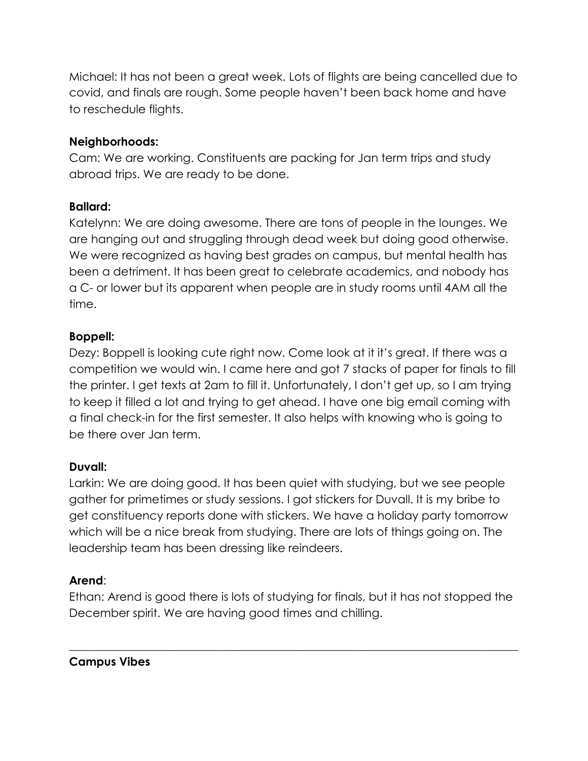Michael: It has not been a great week. Lots of flights are being cancelled due to covid, and finals are rough. Some people haven't been back home and have to reschedule flights.

# **Neighborhoods:**

Cam: We are working. Constituents are packing for Jan term trips and study abroad trips. We are ready to be done.

# **Ballard:**

Katelynn: We are doing awesome. There are tons of people in the lounges. We are hanging out and struggling through dead week but doing good otherwise. We were recognized as having best grades on campus, but mental health has been a detriment. It has been great to celebrate academics, and nobody has a C- or lower but its apparent when people are in study rooms until 4AM all the time.

# **Boppell:**

Dezy: Boppell is looking cute right now. Come look at it it's great. If there was a competition we would win. I came here and got 7 stacks of paper for finals to fill the printer. I get texts at 2am to fill it. Unfortunately, I don't get up, so I am trying to keep it filled a lot and trying to get ahead. I have one big email coming with a final check-in for the first semester. It also helps with knowing who is going to be there over Jan term.

## **Duvall:**

Larkin: We are doing good. It has been quiet with studying, but we see people gather for primetimes or study sessions. I got stickers for Duvall. It is my bribe to get constituency reports done with stickers. We have a holiday party tomorrow which will be a nice break from studying. There are lots of things going on. The leadership team has been dressing like reindeers.

# **Arend**:

Ethan: Arend is good there is lots of studying for finals, but it has not stopped the December spirit. We are having good times and chilling.

 $\_$  , and the set of the set of the set of the set of the set of the set of the set of the set of the set of the set of the set of the set of the set of the set of the set of the set of the set of the set of the set of th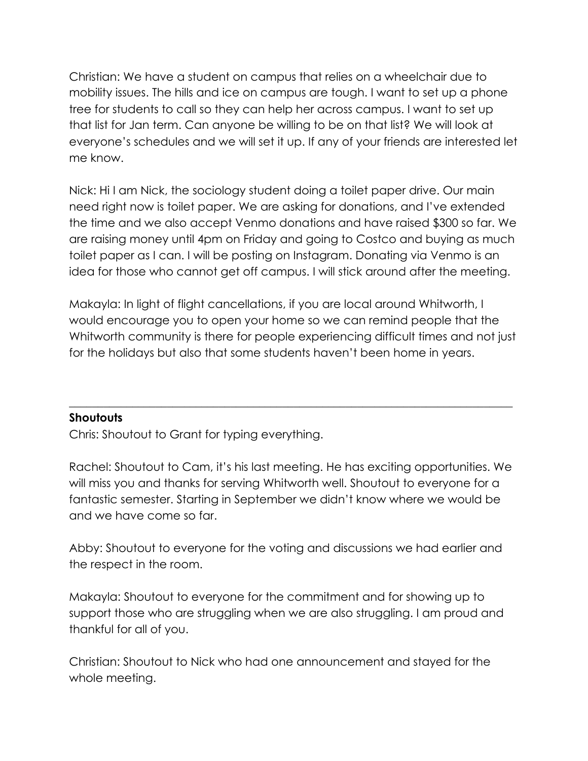Christian: We have a student on campus that relies on a wheelchair due to mobility issues. The hills and ice on campus are tough. I want to set up a phone tree for students to call so they can help her across campus. I want to set up that list for Jan term. Can anyone be willing to be on that list? We will look at everyone's schedules and we will set it up. If any of your friends are interested let me know.

Nick: Hi I am Nick, the sociology student doing a toilet paper drive. Our main need right now is toilet paper. We are asking for donations, and I've extended the time and we also accept Venmo donations and have raised \$300 so far. We are raising money until 4pm on Friday and going to Costco and buying as much toilet paper as I can. I will be posting on Instagram. Donating via Venmo is an idea for those who cannot get off campus. I will stick around after the meeting.

Makayla: In light of flight cancellations, if you are local around Whitworth, I would encourage you to open your home so we can remind people that the Whitworth community is there for people experiencing difficult times and not just for the holidays but also that some students haven't been home in years.

\_\_\_\_\_\_\_\_\_\_\_\_\_\_\_\_\_\_\_\_\_\_\_\_\_\_\_\_\_\_\_\_\_\_\_\_\_\_\_\_\_\_\_\_\_\_\_\_\_\_\_\_\_\_\_\_\_\_\_\_\_\_\_\_\_\_\_\_\_\_\_\_\_\_\_\_\_

## **Shoutouts**

Chris: Shoutout to Grant for typing everything.

Rachel: Shoutout to Cam, it's his last meeting. He has exciting opportunities. We will miss you and thanks for serving Whitworth well. Shoutout to everyone for a fantastic semester. Starting in September we didn't know where we would be and we have come so far.

Abby: Shoutout to everyone for the voting and discussions we had earlier and the respect in the room.

Makayla: Shoutout to everyone for the commitment and for showing up to support those who are struggling when we are also struggling. I am proud and thankful for all of you.

Christian: Shoutout to Nick who had one announcement and stayed for the whole meeting.